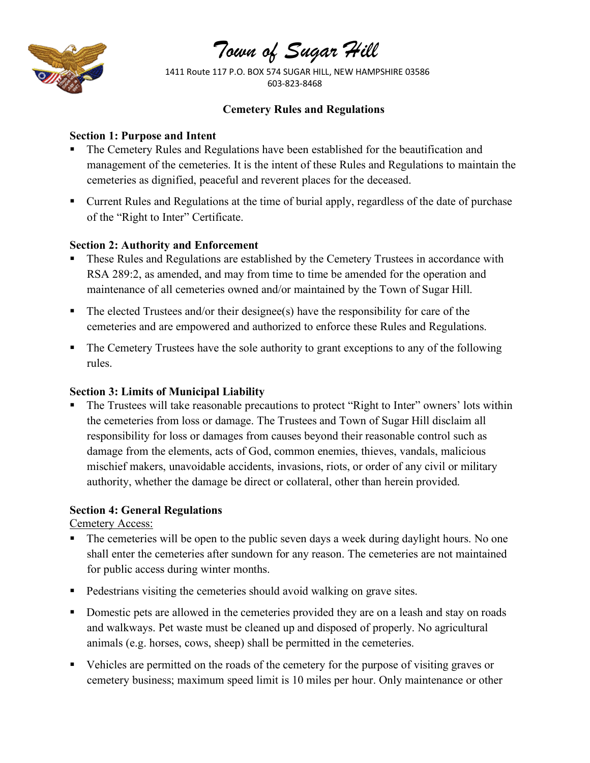

# *Town of Sugar Hill*

 1411 Route 117 P.O. BOX 574 SUGAR HILL, NEW HAMPSHIRE 03586 603-823-8468

#### **Cemetery Rules and Regulations**

#### **Section 1: Purpose and Intent**

- The Cemetery Rules and Regulations have been established for the beautification and management of the cemeteries. It is the intent of these Rules and Regulations to maintain the cemeteries as dignified, peaceful and reverent places for the deceased.
- Current Rules and Regulations at the time of burial apply, regardless of the date of purchase of the "Right to Inter" Certificate.

## **Section 2: Authority and Enforcement**

- These Rules and Regulations are established by the Cemetery Trustees in accordance with RSA 289:2, as amended, and may from time to time be amended for the operation and maintenance of all cemeteries owned and/or maintained by the Town of Sugar Hill.
- The elected Trustees and/or their designee(s) have the responsibility for care of the cemeteries and are empowered and authorized to enforce these Rules and Regulations.
- The Cemetery Trustees have the sole authority to grant exceptions to any of the following rules.

#### **Section 3: Limits of Municipal Liability**

The Trustees will take reasonable precautions to protect "Right to Inter" owners' lots within the cemeteries from loss or damage. The Trustees and Town of Sugar Hill disclaim all responsibility for loss or damages from causes beyond their reasonable control such as damage from the elements, acts of God, common enemies, thieves, vandals, malicious mischief makers, unavoidable accidents, invasions, riots, or order of any civil or military authority, whether the damage be direct or collateral, other than herein provided.

# **Section 4: General Regulations**

Cemetery Access:

- The cemeteries will be open to the public seven days a week during daylight hours. No one shall enter the cemeteries after sundown for any reason. The cemeteries are not maintained for public access during winter months.
- Pedestrians visiting the cemeteries should avoid walking on grave sites.
- Domestic pets are allowed in the cemeteries provided they are on a leash and stay on roads and walkways. Pet waste must be cleaned up and disposed of properly. No agricultural animals (e.g. horses, cows, sheep) shall be permitted in the cemeteries.
- Vehicles are permitted on the roads of the cemetery for the purpose of visiting graves or cemetery business; maximum speed limit is 10 miles per hour. Only maintenance or other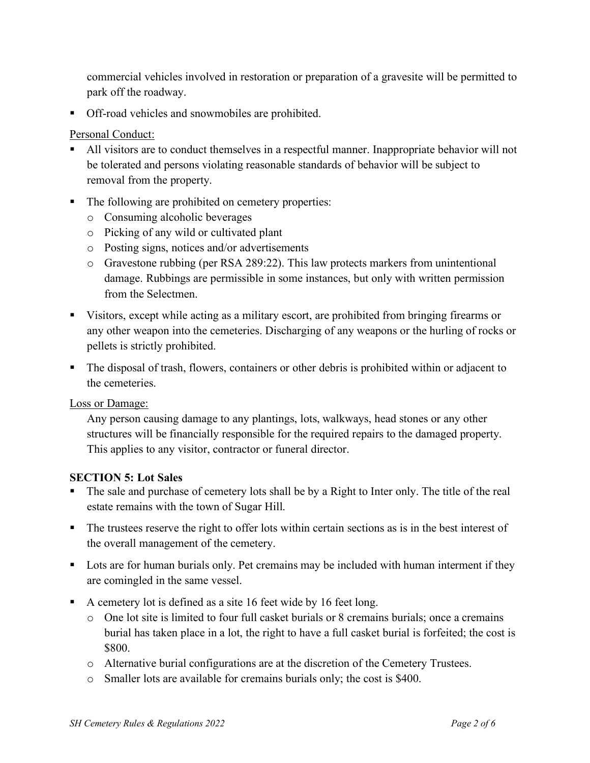commercial vehicles involved in restoration or preparation of a gravesite will be permitted to park off the roadway.

■ Off-road vehicles and snowmobiles are prohibited.

## Personal Conduct:

- All visitors are to conduct themselves in a respectful manner. Inappropriate behavior will not be tolerated and persons violating reasonable standards of behavior will be subject to removal from the property.
- The following are prohibited on cemetery properties:
	- o Consuming alcoholic beverages
	- o Picking of any wild or cultivated plant
	- o Posting signs, notices and/or advertisements
	- o Gravestone rubbing (per RSA 289:22). This law protects markers from unintentional damage. Rubbings are permissible in some instances, but only with written permission from the Selectmen.
- Visitors, except while acting as a military escort, are prohibited from bringing firearms or any other weapon into the cemeteries. Discharging of any weapons or the hurling of rocks or pellets is strictly prohibited.
- The disposal of trash, flowers, containers or other debris is prohibited within or adjacent to the cemeteries.

Loss or Damage:

Any person causing damage to any plantings, lots, walkways, head stones or any other structures will be financially responsible for the required repairs to the damaged property. This applies to any visitor, contractor or funeral director.

#### **SECTION 5: Lot Sales**

- The sale and purchase of cemetery lots shall be by a Right to Inter only. The title of the real estate remains with the town of Sugar Hill.
- The trustees reserve the right to offer lots within certain sections as is in the best interest of the overall management of the cemetery.
- Lots are for human burials only. Pet cremains may be included with human interment if they are comingled in the same vessel.
- A cemetery lot is defined as a site 16 feet wide by 16 feet long.
	- o One lot site is limited to four full casket burials or 8 cremains burials; once a cremains burial has taken place in a lot, the right to have a full casket burial is forfeited; the cost is \$800.
	- o Alternative burial configurations are at the discretion of the Cemetery Trustees.
	- o Smaller lots are available for cremains burials only; the cost is \$400.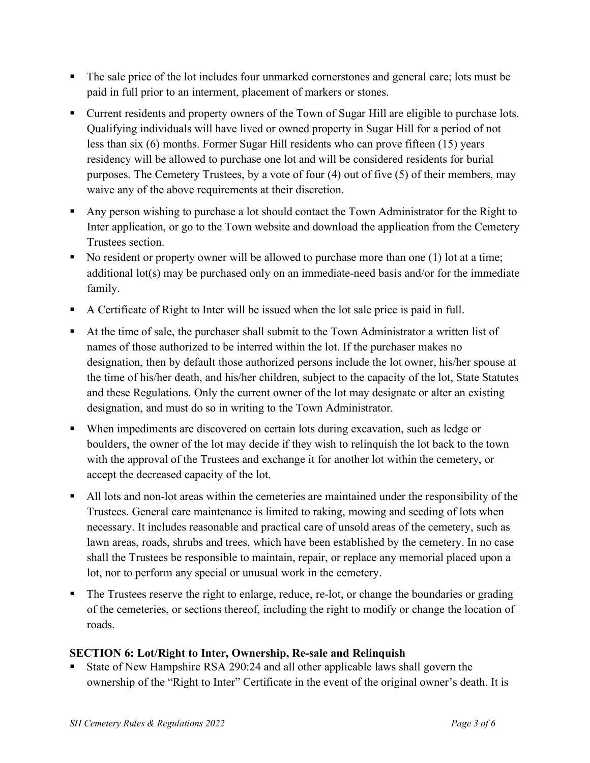- § The sale price of the lot includes four unmarked cornerstones and general care; lots must be paid in full prior to an interment, placement of markers or stones.
- Current residents and property owners of the Town of Sugar Hill are eligible to purchase lots. Qualifying individuals will have lived or owned property in Sugar Hill for a period of not less than six (6) months. Former Sugar Hill residents who can prove fifteen (15) years residency will be allowed to purchase one lot and will be considered residents for burial purposes. The Cemetery Trustees, by a vote of four (4) out of five (5) of their members, may waive any of the above requirements at their discretion.
- Any person wishing to purchase a lot should contact the Town Administrator for the Right to Inter application, or go to the Town website and download the application from the Cemetery Trustees section.
- No resident or property owner will be allowed to purchase more than one (1) lot at a time; additional lot(s) may be purchased only on an immediate-need basis and/or for the immediate family.
- § A Certificate of Right to Inter will be issued when the lot sale price is paid in full.
- At the time of sale, the purchaser shall submit to the Town Administrator a written list of names of those authorized to be interred within the lot. If the purchaser makes no designation, then by default those authorized persons include the lot owner, his/her spouse at the time of his/her death, and his/her children, subject to the capacity of the lot, State Statutes and these Regulations. Only the current owner of the lot may designate or alter an existing designation, and must do so in writing to the Town Administrator.
- § When impediments are discovered on certain lots during excavation, such as ledge or boulders, the owner of the lot may decide if they wish to relinquish the lot back to the town with the approval of the Trustees and exchange it for another lot within the cemetery, or accept the decreased capacity of the lot.
- All lots and non-lot areas within the cemeteries are maintained under the responsibility of the Trustees. General care maintenance is limited to raking, mowing and seeding of lots when necessary. It includes reasonable and practical care of unsold areas of the cemetery, such as lawn areas, roads, shrubs and trees, which have been established by the cemetery. In no case shall the Trustees be responsible to maintain, repair, or replace any memorial placed upon a lot, nor to perform any special or unusual work in the cemetery.
- The Trustees reserve the right to enlarge, reduce, re-lot, or change the boundaries or grading of the cemeteries, or sections thereof, including the right to modify or change the location of roads.

# **SECTION 6: Lot/Right to Inter, Ownership, Re-sale and Relinquish**

§ State of New Hampshire RSA 290:24 and all other applicable laws shall govern the ownership of the "Right to Inter" Certificate in the event of the original owner's death. It is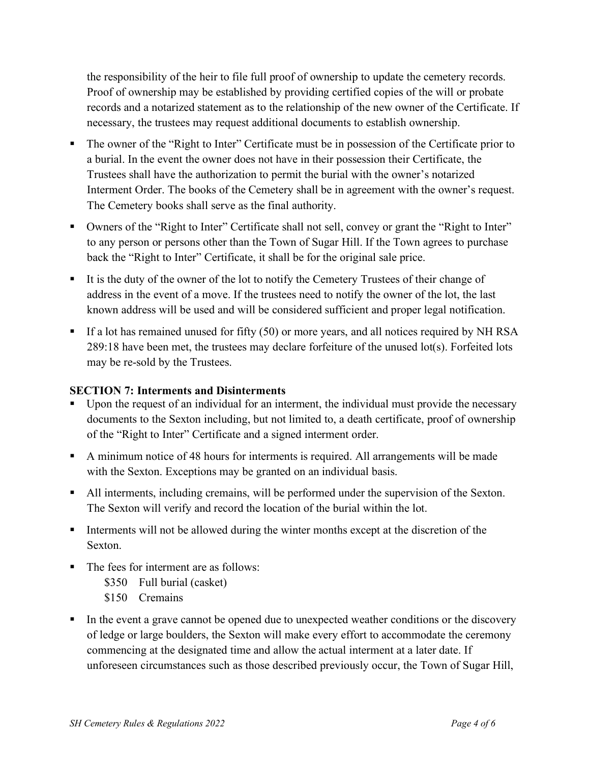the responsibility of the heir to file full proof of ownership to update the cemetery records. Proof of ownership may be established by providing certified copies of the will or probate records and a notarized statement as to the relationship of the new owner of the Certificate. If necessary, the trustees may request additional documents to establish ownership.

- § The owner of the "Right to Inter" Certificate must be in possession of the Certificate prior to a burial. In the event the owner does not have in their possession their Certificate, the Trustees shall have the authorization to permit the burial with the owner's notarized Interment Order. The books of the Cemetery shall be in agreement with the owner's request. The Cemetery books shall serve as the final authority.
- Owners of the "Right to Inter" Certificate shall not sell, convey or grant the "Right to Inter" to any person or persons other than the Town of Sugar Hill. If the Town agrees to purchase back the "Right to Inter" Certificate, it shall be for the original sale price.
- It is the duty of the owner of the lot to notify the Cemetery Trustees of their change of address in the event of a move. If the trustees need to notify the owner of the lot, the last known address will be used and will be considered sufficient and proper legal notification.
- If a lot has remained unused for fifty (50) or more years, and all notices required by NH RSA 289:18 have been met, the trustees may declare forfeiture of the unused lot(s). Forfeited lots may be re-sold by the Trustees.

# **SECTION 7: Interments and Disinterments**

- Upon the request of an individual for an interment, the individual must provide the necessary documents to the Sexton including, but not limited to, a death certificate, proof of ownership of the "Right to Inter" Certificate and a signed interment order.
- § A minimum notice of 48 hours for interments is required. All arrangements will be made with the Sexton. Exceptions may be granted on an individual basis.
- All interments, including cremains, will be performed under the supervision of the Sexton. The Sexton will verify and record the location of the burial within the lot.
- § Interments will not be allowed during the winter months except at the discretion of the Sexton.
- The fees for interment are as follows:
	- \$350 Full burial (casket)
	- \$150 Cremains
- In the event a grave cannot be opened due to unexpected weather conditions or the discovery of ledge or large boulders, the Sexton will make every effort to accommodate the ceremony commencing at the designated time and allow the actual interment at a later date. If unforeseen circumstances such as those described previously occur, the Town of Sugar Hill,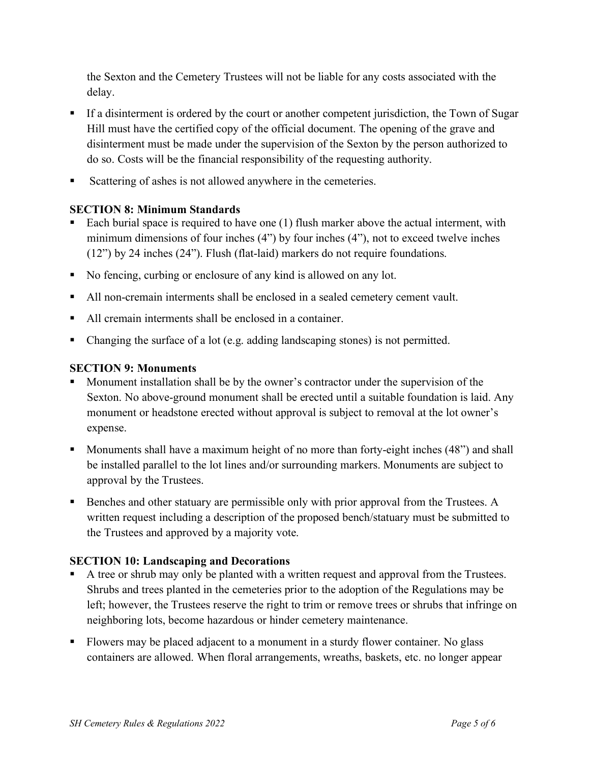the Sexton and the Cemetery Trustees will not be liable for any costs associated with the delay.

- If a disinterment is ordered by the court or another competent jurisdiction, the Town of Sugar Hill must have the certified copy of the official document. The opening of the grave and disinterment must be made under the supervision of the Sexton by the person authorized to do so. Costs will be the financial responsibility of the requesting authority.
- § Scattering of ashes is not allowed anywhere in the cemeteries.

# **SECTION 8: Minimum Standards**

- Each burial space is required to have one (1) flush marker above the actual interment, with minimum dimensions of four inches (4") by four inches (4"), not to exceed twelve inches (12") by 24 inches (24"). Flush (flat-laid) markers do not require foundations.
- No fencing, curbing or enclosure of any kind is allowed on any lot.
- All non-cremain interments shall be enclosed in a sealed cemetery cement vault.
- All cremain interments shall be enclosed in a container.
- Changing the surface of a lot (e.g. adding landscaping stones) is not permitted.

# **SECTION 9: Monuments**

- § Monument installation shall be by the owner's contractor under the supervision of the Sexton. No above-ground monument shall be erected until a suitable foundation is laid. Any monument or headstone erected without approval is subject to removal at the lot owner's expense.
- Monuments shall have a maximum height of no more than forty-eight inches (48") and shall be installed parallel to the lot lines and/or surrounding markers. Monuments are subject to approval by the Trustees.
- Benches and other statuary are permissible only with prior approval from the Trustees. A written request including a description of the proposed bench/statuary must be submitted to the Trustees and approved by a majority vote.

# **SECTION 10: Landscaping and Decorations**

- A tree or shrub may only be planted with a written request and approval from the Trustees. Shrubs and trees planted in the cemeteries prior to the adoption of the Regulations may be left; however, the Trustees reserve the right to trim or remove trees or shrubs that infringe on neighboring lots, become hazardous or hinder cemetery maintenance.
- Flowers may be placed adjacent to a monument in a sturdy flower container. No glass containers are allowed. When floral arrangements, wreaths, baskets, etc. no longer appear